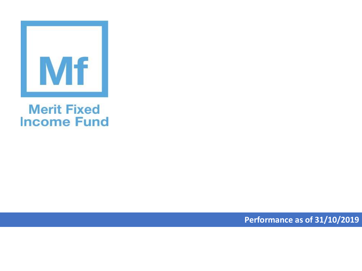

## **Merit Fixed Income Fund**

**Performance as of 31/10/2019**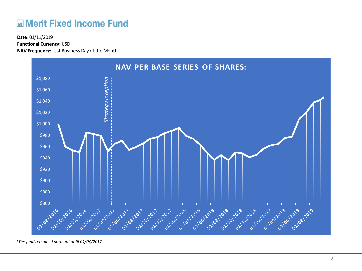## **ME Merit Fixed Income Fund**

**Functional Currency:** USD

**NAV Frequency:** Last Business Day of the Month